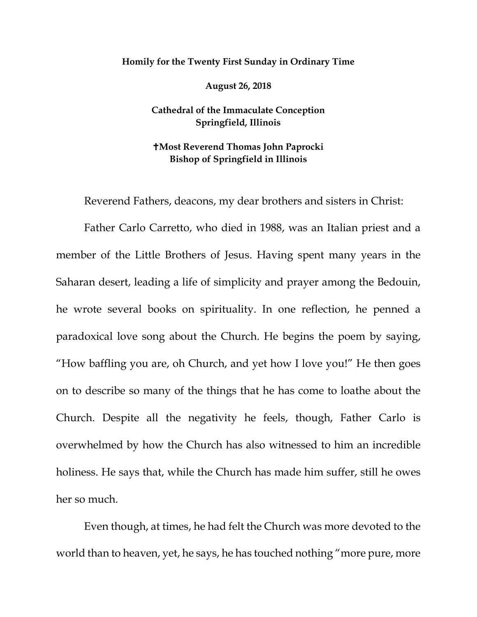## **Homily for the Twenty First Sunday in Ordinary Time**

**August 26, 2018**

**Cathedral of the Immaculate Conception Springfield, Illinois**

## **Most Reverend Thomas John Paprocki Bishop of Springfield in Illinois**

Reverend Fathers, deacons, my dear brothers and sisters in Christ:

Father Carlo Carretto, who died in 1988, was an Italian priest and a member of the Little Brothers of Jesus. Having spent many years in the Saharan desert, leading a life of simplicity and prayer among the Bedouin, he wrote several books on spirituality. In one reflection, he penned a paradoxical love song about the Church. He begins the poem by saying, "How baffling you are, oh Church, and yet how I love you!" He then goes on to describe so many of the things that he has come to loathe about the Church. Despite all the negativity he feels, though, Father Carlo is overwhelmed by how the Church has also witnessed to him an incredible holiness. He says that, while the Church has made him suffer, still he owes her so much.

Even though, at times, he had felt the Church was more devoted to the world than to heaven, yet, he says, he has touched nothing "more pure, more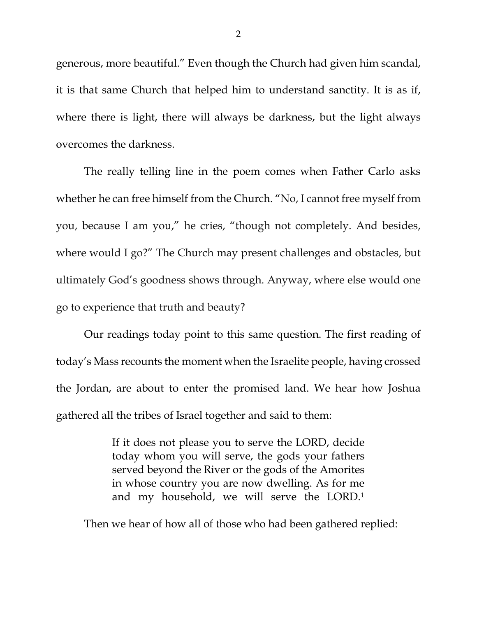generous, more beautiful." Even though the Church had given him scandal, it is that same Church that helped him to understand sanctity. It is as if, where there is light, there will always be darkness, but the light always overcomes the darkness.

The really telling line in the poem comes when Father Carlo asks whether he can free himself from the Church. "No, I cannot free myself from you, because I am you," he cries, "though not completely. And besides, where would I go?" The Church may present challenges and obstacles, but ultimately God's goodness shows through. Anyway, where else would one go to experience that truth and beauty?

Our readings today point to this same question. The first reading of today's Mass recounts the moment when the Israelite people, having crossed the Jordan, are about to enter the promised land. We hear how Joshua gathered all the tribes of Israel together and said to them:

> If it does not please you to serve the LORD, decide today whom you will serve, the gods your fathers served beyond the River or the gods of the Amorites in whose country you are now dwelling. As for me and my household, we will serve the LORD[.1](#page-2-0)

Then we hear of how all of those who had been gathered replied: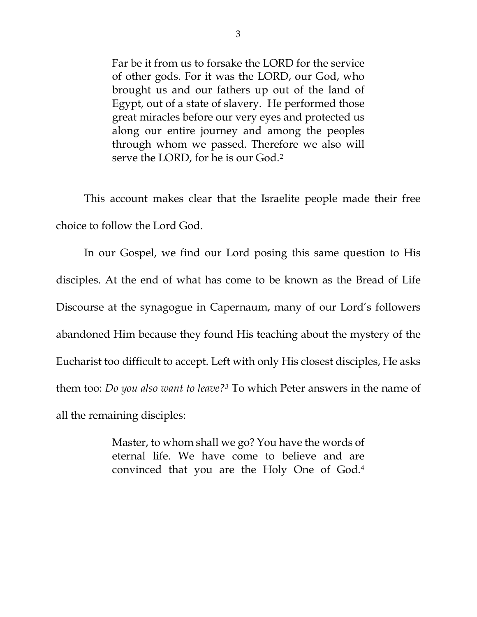Far be it from us to forsake the LORD for the service of other gods. For it was the LORD, our God, who brought us and our fathers up out of the land of Egypt, out of a state of slavery. He performed those great miracles before our very eyes and protected us along our entire journey and among the peoples through whom we passed. Therefore we also will serve the LORD, for he is our God.[2](#page-2-1)

<span id="page-2-3"></span><span id="page-2-2"></span><span id="page-2-1"></span><span id="page-2-0"></span>This account makes clear that the Israelite people made their free choice to follow the Lord God.

In our Gospel, we find our Lord posing this same question to His disciples. At the end of what has come to be known as the Bread of Life Discourse at the synagogue in Capernaum, many of our Lord's followers abandoned Him because they found His teaching about the mystery of the Eucharist too difficult to accept. Left with only His closest disciples, He asks them too: *Do you also want to leave?[3](#page-2-2)* To which Peter answers in the name of all the remaining disciples:

> Master, to whom shall we go? You have the words of eternal life. We have come to believe and are convinced that you are the Holy One of God[.4](#page-2-3)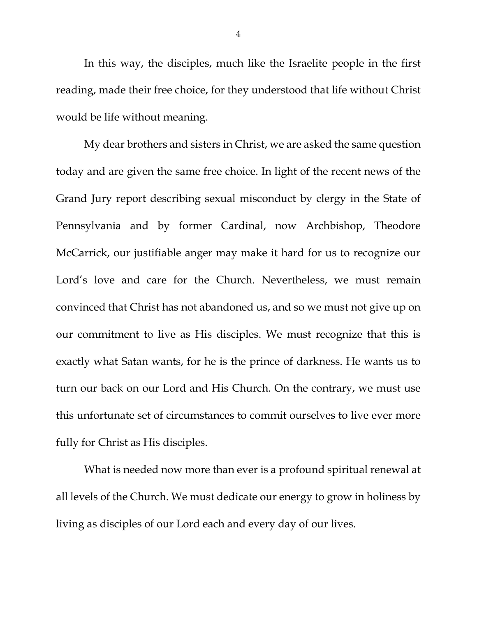In this way, the disciples, much like the Israelite people in the first reading, made their free choice, for they understood that life without Christ would be life without meaning.

My dear brothers and sisters in Christ, we are asked the same question today and are given the same free choice. In light of the recent news of the Grand Jury report describing sexual misconduct by clergy in the State of Pennsylvania and by former Cardinal, now Archbishop, Theodore McCarrick, our justifiable anger may make it hard for us to recognize our Lord's love and care for the Church. Nevertheless, we must remain convinced that Christ has not abandoned us, and so we must not give up on our commitment to live as His disciples. We must recognize that this is exactly what Satan wants, for he is the prince of darkness. He wants us to turn our back on our Lord and His Church. On the contrary, we must use this unfortunate set of circumstances to commit ourselves to live ever more fully for Christ as His disciples.

What is needed now more than ever is a profound spiritual renewal at all levels of the Church. We must dedicate our energy to grow in holiness by living as disciples of our Lord each and every day of our lives.

4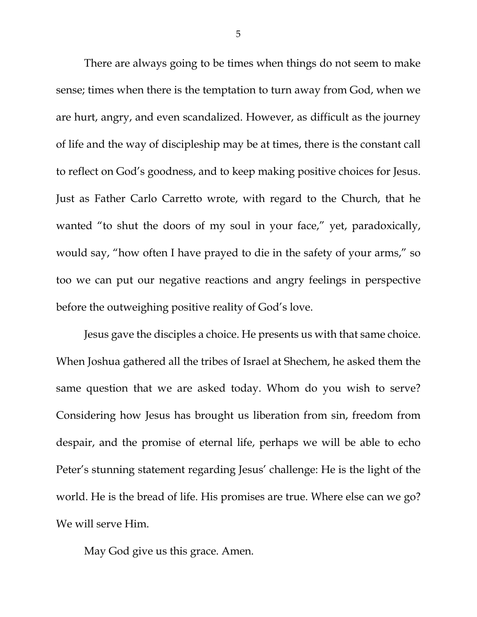There are always going to be times when things do not seem to make sense; times when there is the temptation to turn away from God, when we are hurt, angry, and even scandalized. However, as difficult as the journey of life and the way of discipleship may be at times, there is the constant call to reflect on God's goodness, and to keep making positive choices for Jesus. Just as Father Carlo Carretto wrote, with regard to the Church, that he wanted "to shut the doors of my soul in your face," yet, paradoxically, would say, "how often I have prayed to die in the safety of your arms," so too we can put our negative reactions and angry feelings in perspective before the outweighing positive reality of God's love.

Jesus gave the disciples a choice. He presents us with that same choice. When Joshua gathered all the tribes of Israel at Shechem, he asked them the same question that we are asked today. Whom do you wish to serve? Considering how Jesus has brought us liberation from sin, freedom from despair, and the promise of eternal life, perhaps we will be able to echo Peter's stunning statement regarding Jesus' challenge: He is the light of the world. He is the bread of life. His promises are true. Where else can we go? We will serve Him.

May God give us this grace. Amen.